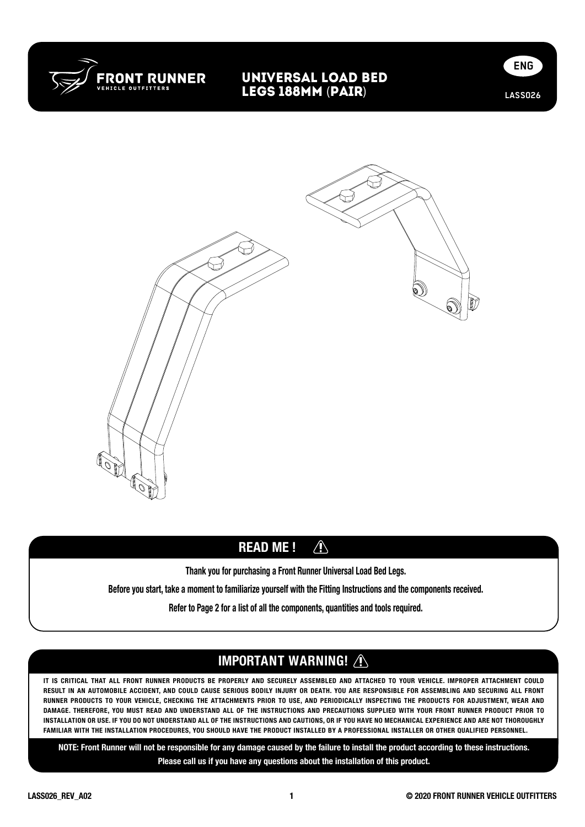

#### universal Load Bed legs 188mm (PaiR)





#### $\triangle$ READ ME !

Thank you for purchasing a Front Runner Universal Load Bed Legs.

Before you start, take a moment to familiarize yourself with the Fitting Instructions and the components received.

Refer to Page 2 for a list of all the components, quantities and tools required.

# IMPORTANT WARNING! /

IT IS CRITICAL THAT ALL FRONT RUNNER PRODUCTS BE PROPERLY AND SECURELY ASSEMBLED AND ATTACHED TO YOUR VEHICLE. IMPROPER ATTACHMENT COULD RESULT IN AN AUTOMOBILE ACCIDENT, AND COULD CAUSE SERIOUS BODILY INJURY OR DEATH. YOU ARE RESPONSIBLE FOR ASSEMBLING AND SECURING ALL FRONT RUNNER PRODUCTS TO YOUR VEHICLE, CHECKING THE ATTACHMENTS PRIOR TO USE, AND PERIODICALLY INSPECTING THE PRODUCTS FOR ADJUSTMENT, WEAR AND DAMAGE. THEREFORE, YOU MUST READ AND UNDERSTAND ALL OF THE INSTRUCTIONS AND PRECAUTIONS SUPPLIED WITH YOUR FRONT RUNNER PRODUCT PRIOR TO INSTALLATION OR USE. IF YOU DO NOT UNDERSTAND ALL OF THE INSTRUCTIONS AND CAUTIONS, OR IF YOU HAVE NO MECHANICAL EXPERIENCE AND ARE NOT THOROUGHLY FAMILIAR WITH THE INSTALLATION PROCEDURES, YOU SHOULD HAVE THE PRODUCT INSTALLED BY A PROFESSIONAL INSTALLER OR OTHER QUALIFIED PERSONNEL.

NOTE: Front Runner will not be responsible for any damage caused by the failure to install the product according to these instructions. Please call us if you have any questions about the installation of this product.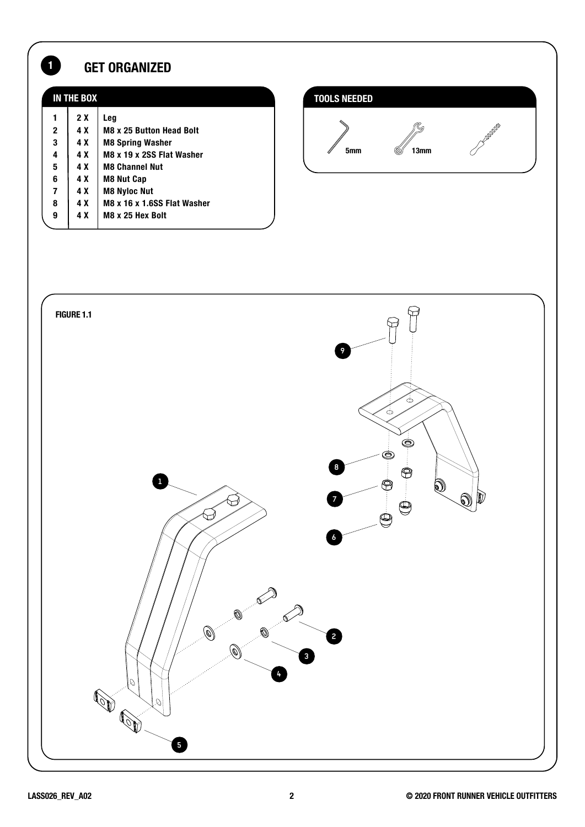# **1** GET ORGANIZED

| IN THE BOX             |                         |                                                                                                | <b>TOOLS NEEDED</b> |           |                                                                                                                                                                                                                                                                                                                                                     |  |
|------------------------|-------------------------|------------------------------------------------------------------------------------------------|---------------------|-----------|-----------------------------------------------------------------------------------------------------------------------------------------------------------------------------------------------------------------------------------------------------------------------------------------------------------------------------------------------------|--|
| $\mathbf{2}$<br>3<br>4 | 2X<br>4 X<br>4 X<br>4 X | Leg<br><b>M8 x 25 Button Head Bolt</b><br><b>M8 Spring Washer</b><br>M8 x 19 x 2SS Flat Washer | 5mm                 | Ó<br>13mm | $\begin{picture}(180,10) \put(0,0){\line(1,0){15}} \put(10,0){\line(1,0){15}} \put(10,0){\line(1,0){15}} \put(10,0){\line(1,0){15}} \put(10,0){\line(1,0){15}} \put(10,0){\line(1,0){15}} \put(10,0){\line(1,0){15}} \put(10,0){\line(1,0){15}} \put(10,0){\line(1,0){15}} \put(10,0){\line(1,0){15}} \put(10,0){\line(1,0){15}} \put(10,0){\line($ |  |
| 5<br>6                 | 4 X<br>4 X              | <b>M8 Channel Nut</b><br><b>M8 Nut Cap</b>                                                     |                     |           |                                                                                                                                                                                                                                                                                                                                                     |  |
| 7<br>8                 | 4 X<br>4 X              | <b>M8 Nyloc Nut</b><br>M8 x 16 x 1.6SS Flat Washer                                             |                     |           |                                                                                                                                                                                                                                                                                                                                                     |  |
| 9                      | 4 X                     | M8 x 25 Hex Bolt                                                                               |                     |           |                                                                                                                                                                                                                                                                                                                                                     |  |